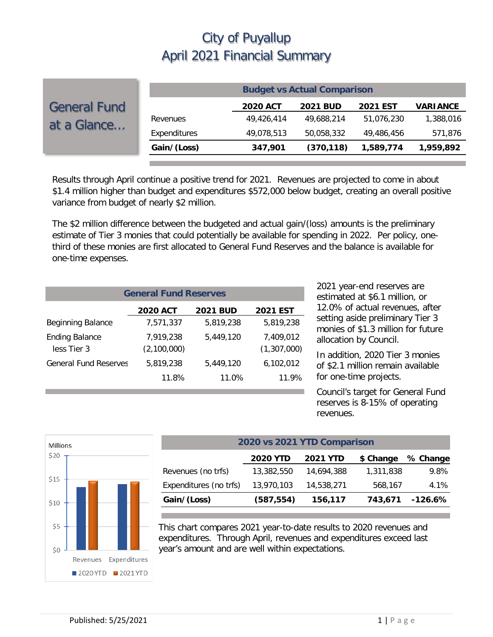|                                    | <b>Budget vs Actual Comparison</b> |                 |                 |                 |                 |  |  |
|------------------------------------|------------------------------------|-----------------|-----------------|-----------------|-----------------|--|--|
| <b>General Fund</b><br>at a Glance |                                    | <b>2020 ACT</b> | <b>2021 BUD</b> | <b>2021 EST</b> | <b>VARIANCE</b> |  |  |
|                                    | Revenues                           | 49,426,414      | 49.688.214      | 51,076,230      | 1,388,016       |  |  |
|                                    | Expenditures                       | 49,078,513      | 50,058,332      | 49,486,456      | 571,876         |  |  |
|                                    | Gain/(Loss)                        | 347,901         | (370, 118)      | 1,589,774       | 1,959,892       |  |  |

Results through April continue a positive trend for 2021. Revenues are projected to come in about \$1.4 million higher than budget and expenditures \$572,000 below budget, creating an overall positive variance from budget of nearly \$2 million.

The \$2 million difference between the budgeted and actual gain/(loss) amounts is the preliminary estimate of Tier 3 monies that could potentially be available for spending in 2022. Per policy, onethird of these monies are first allocated to General Fund Reserves and the balance is available for one-time expenses.

| <b>General Fund Reserves</b>                          |                          |           |                          |  |  |  |  |  |  |
|-------------------------------------------------------|--------------------------|-----------|--------------------------|--|--|--|--|--|--|
| <b>2020 ACT</b><br><b>2021 BUD</b><br><b>2021 EST</b> |                          |           |                          |  |  |  |  |  |  |
| <b>Beginning Balance</b>                              | 7,571,337                | 5.819.238 | 5,819,238                |  |  |  |  |  |  |
| <b>Ending Balance</b><br>less Tier 3                  | 7.919.238<br>(2,100,000) | 5.449.120 | 7.409.012<br>(1,307,000) |  |  |  |  |  |  |
| <b>General Fund Reserves</b>                          | 5.819.238                | 5,449,120 | 6,102,012                |  |  |  |  |  |  |
|                                                       | 11.8%                    | 11.0%     | 11.9%                    |  |  |  |  |  |  |

2021 year-end reserves are estimated at \$6.1 million, or 12.0% of actual revenues, after setting aside preliminary Tier 3 monies of \$1.3 million for future allocation by Council.

In addition, 2020 Tier 3 monies of \$2.1 million remain available for one-time projects.

Council's target for General Fund reserves is 8-15% of operating revenues.



| 2020 vs 2021 YTD Comparison                                 |            |            |           |           |  |  |  |  |
|-------------------------------------------------------------|------------|------------|-----------|-----------|--|--|--|--|
| <b>2020 YTD</b><br><b>2021 YTD</b><br>\$ Change<br>% Change |            |            |           |           |  |  |  |  |
| Revenues (no trfs)                                          | 13,382,550 | 14,694,388 | 1,311,838 | 9.8%      |  |  |  |  |
| Expenditures (no trfs)                                      | 13,970,103 | 14,538,271 | 568,167   | 4.1%      |  |  |  |  |
| Gain/(Loss)                                                 | (587, 554) | 156,117    | 743,671   | $-126.6%$ |  |  |  |  |

This chart compares 2021 year-to-date results to 2020 revenues and expenditures. Through April, revenues and expenditures exceed last year's amount and are well within expectations.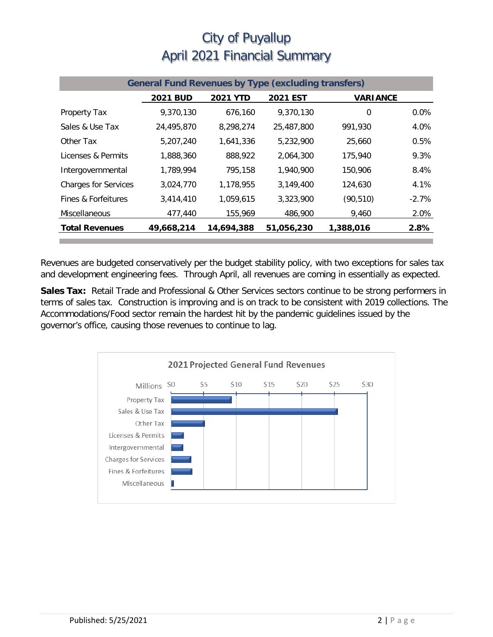| <b>General Fund Revenues by Type (excluding transfers)</b> |                 |                 |                 |                 |         |  |
|------------------------------------------------------------|-----------------|-----------------|-----------------|-----------------|---------|--|
|                                                            | <b>2021 BUD</b> | <b>2021 YTD</b> | <b>2021 EST</b> | <b>VARIANCE</b> |         |  |
| Property Tax                                               | 9,370,130       | 676,160         | 9.370.130       | 0               | $0.0\%$ |  |
| Sales & Use Tax                                            | 24,495,870      | 8,298,274       | 25,487,800      | 991,930         | 4.0%    |  |
| Other Tax                                                  | 5,207,240       | 1,641,336       | 5,232,900       | 25,660          | 0.5%    |  |
| Licenses & Permits                                         | 1,888,360       | 888,922         | 2.064.300       | 175,940         | 9.3%    |  |
| Intergovernmental                                          | 1,789,994       | 795,158         | 1,940,900       | 150,906         | 8.4%    |  |
| <b>Charges for Services</b>                                | 3,024,770       | 1,178,955       | 3,149,400       | 124,630         | 4.1%    |  |
| Fines & Forfeitures                                        | 3,414,410       | 1,059,615       | 3,323,900       | (90, 510)       | $-2.7%$ |  |
| Miscellaneous                                              | 477,440         | 155,969         | 486,900         | 9,460           | 2.0%    |  |
| <b>Total Revenues</b>                                      | 49,668,214      | 14,694,388      | 51,056,230      | 1,388,016       | 2.8%    |  |

Revenues are budgeted conservatively per the budget stability policy, with two exceptions for sales tax and development engineering fees. Through April, all revenues are coming in essentially as expected.

**Sales Tax:** Retail Trade and Professional & Other Services sectors continue to be strong performers in terms of sales tax. Construction is improving and is on track to be consistent with 2019 collections. The Accommodations/Food sector remain the hardest hit by the pandemic guidelines issued by the governor's office, causing those revenues to continue to lag.

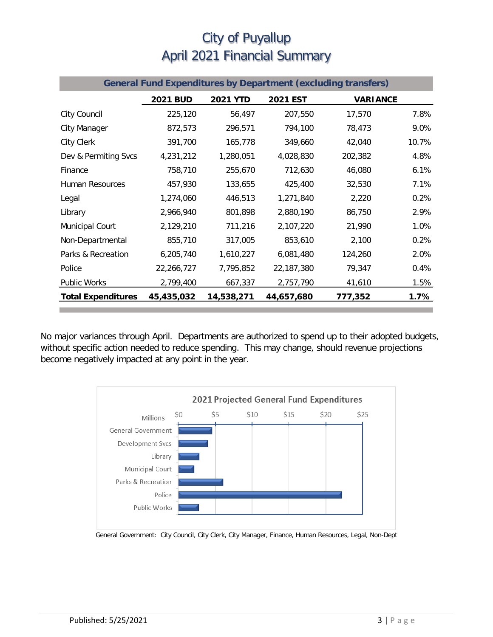| <b>General Fund Expenditures by Department (excluding transfers)</b> |                 |                 |            |                 |       |  |
|----------------------------------------------------------------------|-----------------|-----------------|------------|-----------------|-------|--|
|                                                                      | <b>2021 BUD</b> | <b>2021 YTD</b> | 2021 EST   | <b>VARIANCE</b> |       |  |
| City Council                                                         | 225,120         | 56,497          | 207,550    | 17,570          | 7.8%  |  |
| <b>City Manager</b>                                                  | 872,573         | 296,571         | 794,100    | 78,473          | 9.0%  |  |
| <b>City Clerk</b>                                                    | 391,700         | 165,778         | 349,660    | 42,040          | 10.7% |  |
| Dev & Permiting Svcs                                                 | 4,231,212       | 1,280,051       | 4,028,830  | 202,382         | 4.8%  |  |
| Finance                                                              | 758,710         | 255,670         | 712,630    | 46,080          | 6.1%  |  |
| <b>Human Resources</b>                                               | 457,930         | 133,655         | 425,400    | 32,530          | 7.1%  |  |
| Legal                                                                | 1,274,060       | 446,513         | 1,271,840  | 2,220           | 0.2%  |  |
| Library                                                              | 2,966,940       | 801,898         | 2,880,190  | 86,750          | 2.9%  |  |
| Municipal Court                                                      | 2,129,210       | 711,216         | 2,107,220  | 21,990          | 1.0%  |  |
| Non-Departmental                                                     | 855,710         | 317,005         | 853,610    | 2,100           | 0.2%  |  |
| Parks & Recreation                                                   | 6,205,740       | 1,610,227       | 6,081,480  | 124,260         | 2.0%  |  |
| Police                                                               | 22,266,727      | 7,795,852       | 22,187,380 | 79,347          | 0.4%  |  |
| <b>Public Works</b>                                                  | 2,799,400       | 667,337         | 2,757,790  | 41,610          | 1.5%  |  |
| <b>Total Expenditures</b>                                            | 45,435,032      | 14,538,271      | 44,657,680 | 777,352         | 1.7%  |  |

No major variances through April. Departments are authorized to spend up to their adopted budgets, without specific action needed to reduce spending. This may change, should revenue projections become negatively impacted at any point in the year.



General Government: City Council, City Clerk, City Manager, Finance, Human Resources, Legal, Non-Dept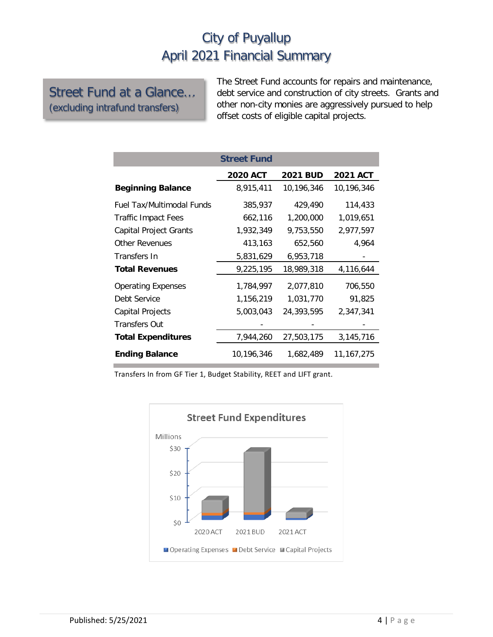#### Street Fund at a Glance… (excluding intrafund transfers)

The Street Fund accounts for repairs and maintenance, debt service and construction of city streets. Grants and other non-city monies are aggressively pursued to help offset costs of eligible capital projects.

|                               | <b>Street Fund</b> |                 |                 |
|-------------------------------|--------------------|-----------------|-----------------|
|                               | <b>2020 ACT</b>    | <b>2021 BUD</b> | <b>2021 ACT</b> |
| <b>Beginning Balance</b>      | 8,915,411          | 10,196,346      | 10,196,346      |
| Fuel Tax/Multimodal Funds     | 385,937            | 429,490         | 114,433         |
| Traffic Impact Fees           | 662,116            | 1,200,000       | 1,019,651       |
| <b>Capital Project Grants</b> | 1,932,349          | 9,753,550       | 2,977,597       |
| <b>Other Revenues</b>         | 413,163            | 652,560         | 4,964           |
| Transfers In                  | 5,831,629          | 6,953,718       |                 |
| <b>Total Revenues</b>         | 9,225,195          | 18,989,318      | 4,116,644       |
| <b>Operating Expenses</b>     | 1,784,997          | 2,077,810       | 706,550         |
| Debt Service                  | 1,156,219          | 1,031,770       | 91,825          |
| Capital Projects              | 5,003,043          | 24,393,595      | 2,347,341       |
| <b>Transfers Out</b>          |                    |                 |                 |
| <b>Total Expenditures</b>     | 7,944,260          | 27,503,175      | 3,145,716       |
| <b>Ending Balance</b>         | 10,196,346         | 1,682,489       | 11, 167, 275    |

Transfers In from GF Tier 1, Budget Stability, REET and LIFT grant.

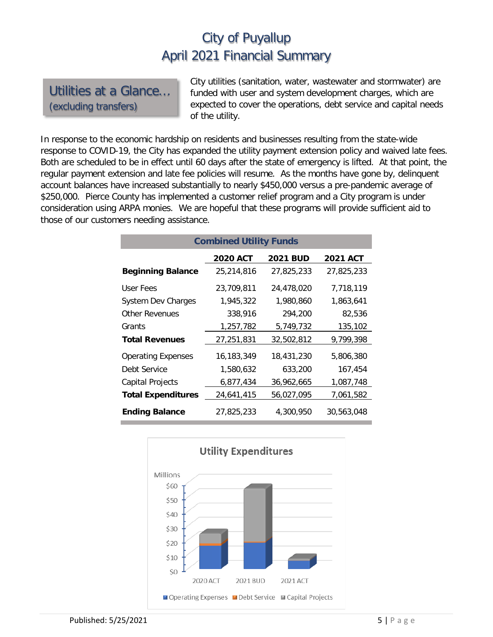Utilities at a Glance… (excluding transfers)

City utilities (sanitation, water, wastewater and stormwater) are funded with user and system development charges, which are expected to cover the operations, debt service and capital needs of the utility.

In response to the economic hardship on residents and businesses resulting from the state-wide response to COVID-19, the City has expanded the utility payment extension policy and waived late fees. Both are scheduled to be in effect until 60 days after the state of emergency is lifted. At that point, the regular payment extension and late fee policies will resume. As the months have gone by, delinquent account balances have increased substantially to nearly \$450,000 versus a pre-pandemic average of \$250,000. Pierce County has implemented a customer relief program and a City program is under consideration using ARPA monies. We are hopeful that these programs will provide sufficient aid to those of our customers needing assistance.

| <b>Combined Utility Funds</b> |                 |                 |                 |  |  |  |  |
|-------------------------------|-----------------|-----------------|-----------------|--|--|--|--|
|                               | <b>2020 ACT</b> | <b>2021 BUD</b> | <b>2021 ACT</b> |  |  |  |  |
| <b>Beginning Balance</b>      | 25,214,816      | 27,825,233      | 27,825,233      |  |  |  |  |
| User Fees                     | 23,709,811      | 24,478,020      | 7,718,119       |  |  |  |  |
| <b>System Dev Charges</b>     | 1,945,322       | 1,980,860       | 1,863,641       |  |  |  |  |
| <b>Other Revenues</b>         | 338,916         | 294,200         | 82,536          |  |  |  |  |
| Grants                        | 1,257,782       | 5,749,732       | 135,102         |  |  |  |  |
| <b>Total Revenues</b>         | 27,251,831      | 32,502,812      | 9,799,398       |  |  |  |  |
| <b>Operating Expenses</b>     | 16,183,349      | 18,431,230      | 5,806,380       |  |  |  |  |
| Debt Service                  | 1,580,632       | 633,200         | 167,454         |  |  |  |  |
| <b>Capital Projects</b>       | 6,877,434       | 36,962,665      | 1,087,748       |  |  |  |  |
| <b>Total Expenditures</b>     | 24,641,415      | 56,027,095      | 7,061,582       |  |  |  |  |
| <b>Ending Balance</b>         | 27,825,233      | 4,300,950       | 30,563,048      |  |  |  |  |

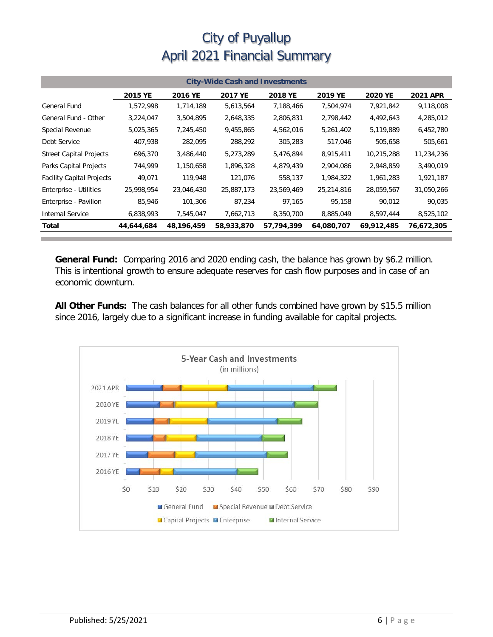| <b>City-Wide Cash and Investments</b> |            |            |            |            |            |            |                 |
|---------------------------------------|------------|------------|------------|------------|------------|------------|-----------------|
|                                       | 2015 YE    | 2016 YE    | 2017 YE    | 2018 YE    | 2019 YE    | 2020 YE    | <b>2021 APR</b> |
| <b>General Fund</b>                   | 1,572,998  | 1,714,189  | 5,613,564  | 7,188,466  | 7,504,974  | 7,921,842  | 9,118,008       |
| General Fund - Other                  | 3,224,047  | 3,504,895  | 2,648,335  | 2,806,831  | 2,798,442  | 4,492,643  | 4,285,012       |
| Special Revenue                       | 5,025,365  | 7,245,450  | 9,455,865  | 4,562,016  | 5,261,402  | 5,119,889  | 6,452,780       |
| Debt Service                          | 407,938    | 282,095    | 288,292    | 305,283    | 517,046    | 505,658    | 505,661         |
| <b>Street Capital Projects</b>        | 696,370    | 3,486,440  | 5,273,289  | 5,476,894  | 8,915,411  | 10,215,288 | 11,234,236      |
| Parks Capital Projects                | 744,999    | 1,150,658  | 1,896,328  | 4,879,439  | 2,904,086  | 2,948,859  | 3,490,019       |
| <b>Facility Capital Projects</b>      | 49,071     | 119,948    | 121,076    | 558,137    | 1,984,322  | 1,961,283  | 1,921,187       |
| Enterprise - Utilities                | 25,998,954 | 23,046,430 | 25,887,173 | 23,569,469 | 25,214,816 | 28,059,567 | 31,050,266      |
| Enterprise - Pavilion                 | 85,946     | 101,306    | 87.234     | 97,165     | 95,158     | 90.012     | 90,035          |
| <b>Internal Service</b>               | 6,838,993  | 7,545,047  | 7,662,713  | 8,350,700  | 8,885,049  | 8,597,444  | 8,525,102       |
| Total                                 | 44,644,684 | 48,196,459 | 58,933,870 | 57,794,399 | 64,080,707 | 69,912,485 | 76,672,305      |

**General Fund:** Comparing 2016 and 2020 ending cash, the balance has grown by \$6.2 million. This is intentional growth to ensure adequate reserves for cash flow purposes and in case of an economic downturn.

**All Other Funds:** The cash balances for all other funds combined have grown by \$15.5 million since 2016, largely due to a significant increase in funding available for capital projects.